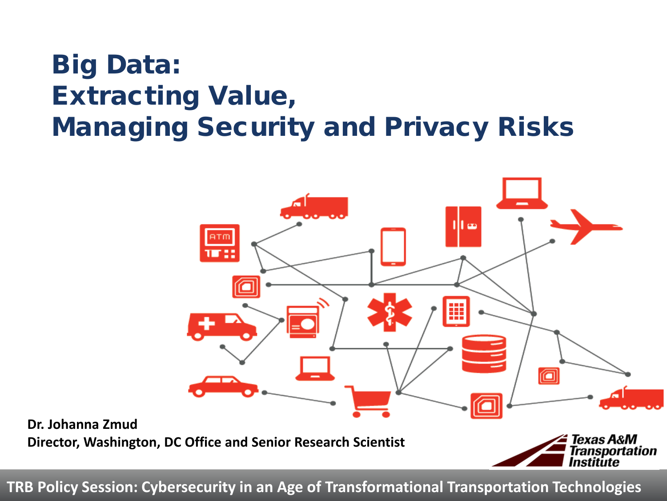## Big Data: Extracting Value, Managing Security and Privacy Risks



**TRB Policy Session: Cybersecurity in an Age of Transformational Transportation Technologies**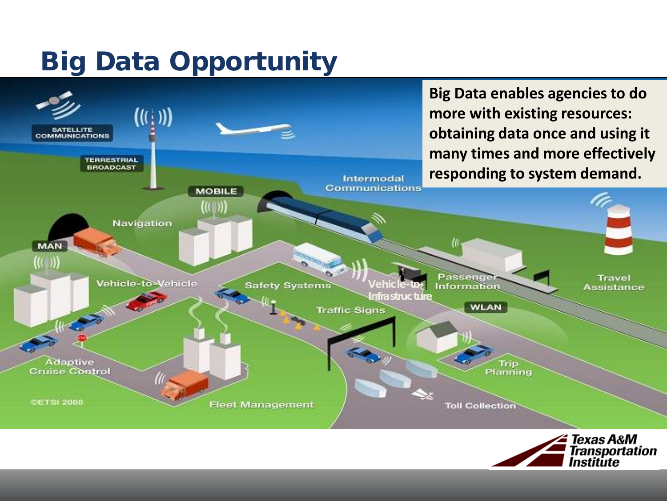## Big Data Opportunity



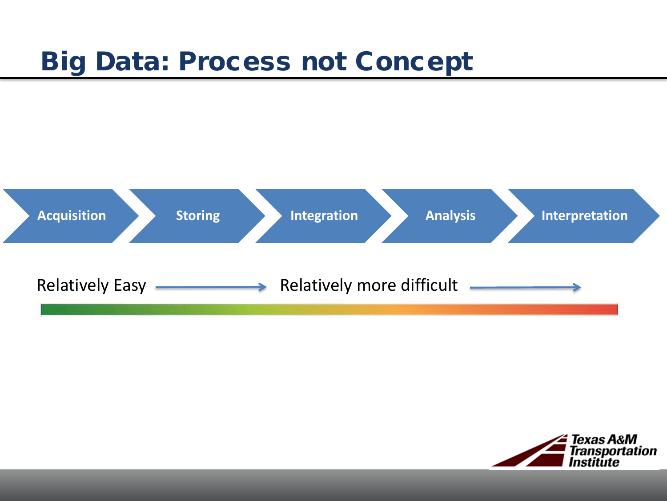## Big Data: Process not Concept



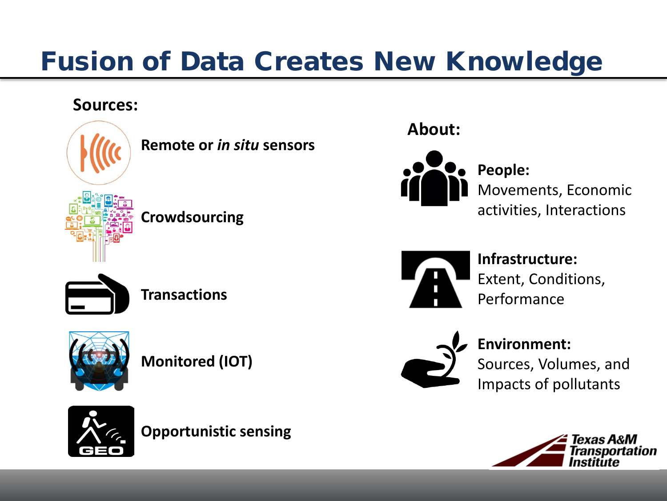## Fusion of Data Creates New Knowledge

#### **Sources:**



**Remote or** *in situ* **sensors**

**Crowdsourcing**







**Monitored (IOT)**



**Opportunistic sensing**

#### **About:**



**People:** Movements, Economic activities, Interactions



**Infrastructure:** Extent, Conditions, Performance



**Environment:**

Sources, Volumes, and Impacts of pollutants

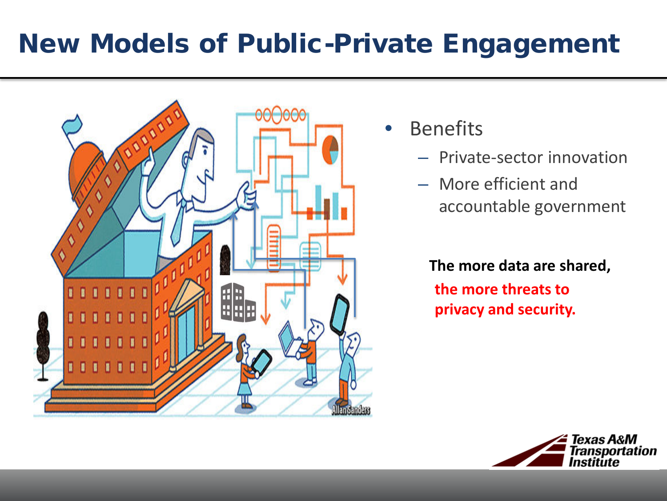## New Models of Public-Private Engagement



- **Benefits** 
	- Private-sector innovation
	- More efficient and accountable government

**The more data are shared, the more threats to privacy and security.**

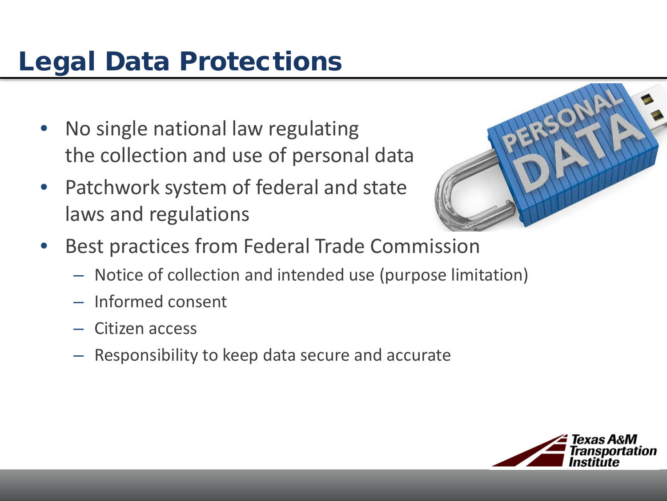# Legal Data Protections

- No single national law regulating the collection and use of personal data
- Patchwork system of federal and state laws and regulations



- Best practices from Federal Trade Commission
	- Notice of collection and intended use (purpose limitation)
	- Informed consent
	- Citizen access
	- Responsibility to keep data secure and accurate

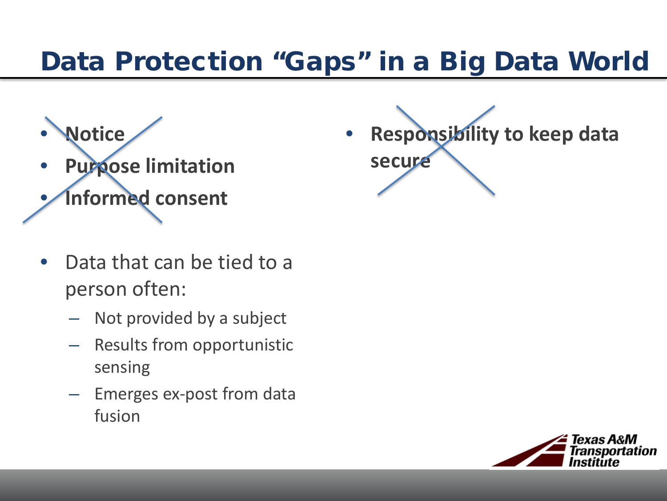## Data Protection "Gaps" in a Big Data World

- **Notice**
- **Purpose limitation** • **Informed consent**
- Data that can be tied to a person often:
	- Not provided by a subject
	- Results from opportunistic sensing
	- Emerges ex-post from data fusion

• **Responsibility to keep data secure**

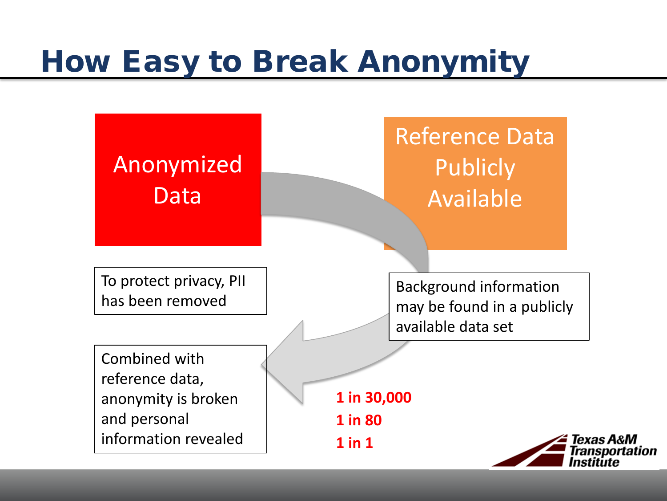# How Easy to Break Anonymity

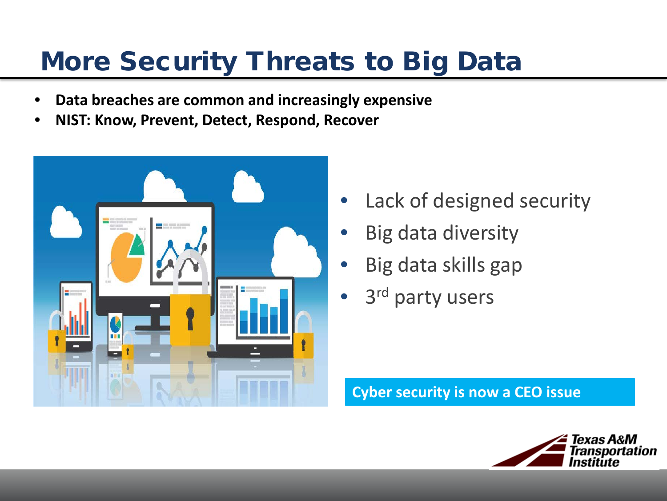## More Security Threats to Big Data

- **Data breaches are common and increasingly expensive**
- **NIST: Know, Prevent, Detect, Respond, Recover**



- Lack of designed security
- Big data diversity
- Big data skills gap
- 3<sup>rd</sup> party users

**Cyber security is now a CEO issue**

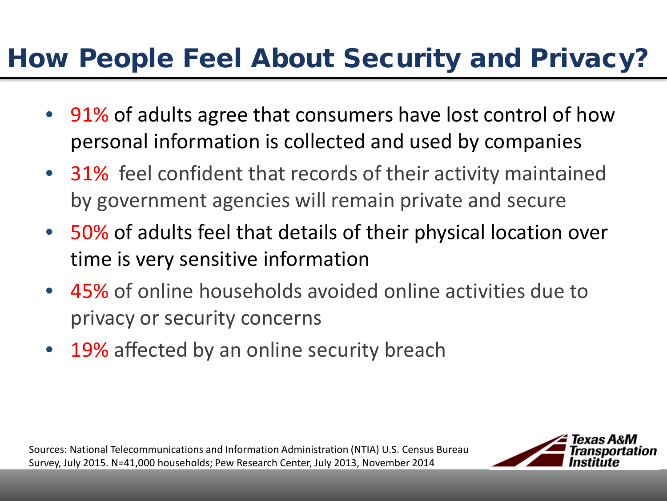## How People Feel About Security and Privacy?

- 91% of adults agree that consumers have lost control of how personal information is collected and used by companies
- 31% feel confident that records of their activity maintained by government agencies will remain private and secure
- 50% of adults feel that details of their physical location over time is very sensitive information
- 45% of online households avoided online activities due to privacy or security concerns
- 19% affected by an online security breach

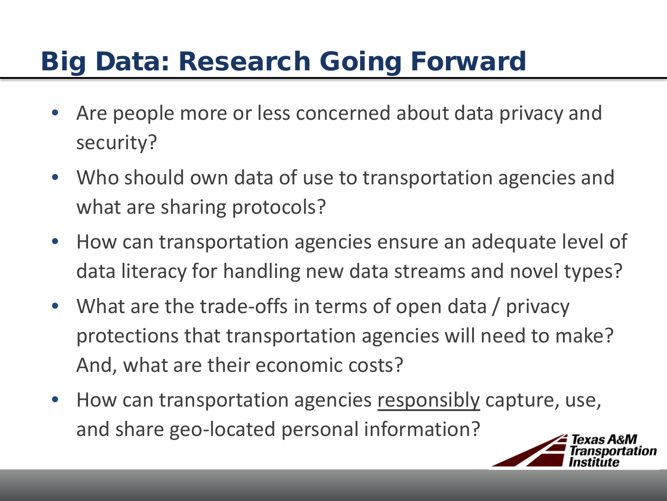# Big Data: Research Going Forward

- Are people more or less concerned about data privacy and security?
- Who should own data of use to transportation agencies and what are sharing protocols?
- How can transportation agencies ensure an adequate level of data literacy for handling new data streams and novel types?
- What are the trade-offs in terms of open data / privacy protections that transportation agencies will need to make? And, what are their economic costs?
- How can transportation agencies responsibly capture, use, and share geo-located personal information?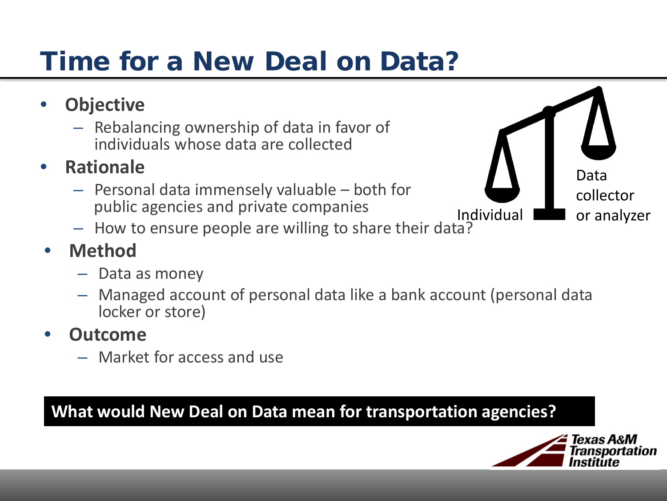# Time for a New Deal on Data?

- **Objective**
	- $-$  Rebalancing ownership of data in favor of individuals whose data are collected
- **Rationale**
	- $-$  Personal data immensely valuable  $-$  both for public agencies and private companies
	- How to ensure people are willing to share their data?



## • **Method**

- Data as money
- Managed account of personal data like a bank account (personal data locker or store)

### • **Outcome**

– Market for access and use

### **What would New Deal on Data mean for transportation agencies?**